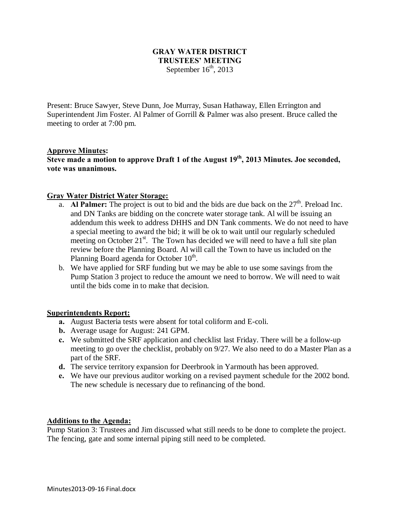### **GRAY WATER DISTRICT TRUSTEES' MEETING** September  $16<sup>th</sup>$ , 2013

Present: Bruce Sawyer, Steve Dunn, Joe Murray, Susan Hathaway, Ellen Errington and Superintendent Jim Foster. Al Palmer of Gorrill & Palmer was also present. Bruce called the meeting to order at 7:00 pm.

## **Approve Minutes:**

**Steve made a motion to approve Draft 1 of the August 19th, 2013 Minutes. Joe seconded, vote was unanimous.**

### **Gray Water District Water Storage:**

- a. **Al Palmer:** The project is out to bid and the bids are due back on the 27<sup>th</sup>. Preload Inc. and DN Tanks are bidding on the concrete water storage tank. Al will be issuing an addendum this week to address DHHS and DN Tank comments. We do not need to have a special meeting to award the bid; it will be ok to wait until our regularly scheduled meeting on October 21<sup>st</sup>. The Town has decided we will need to have a full site plan review before the Planning Board. Al will call the Town to have us included on the Planning Board agenda for October  $10<sup>th</sup>$ .
- b. We have applied for SRF funding but we may be able to use some savings from the Pump Station 3 project to reduce the amount we need to borrow. We will need to wait until the bids come in to make that decision.

### **Superintendents Report:**

- **a.** August Bacteria tests were absent for total coliform and E-coli.
- **b.** Average usage for August: 241 GPM.
- **c.** We submitted the SRF application and checklist last Friday. There will be a follow-up meeting to go over the checklist, probably on 9/27. We also need to do a Master Plan as a part of the SRF.
- **d.** The service territory expansion for Deerbrook in Yarmouth has been approved.
- **e.** We have our previous auditor working on a revised payment schedule for the 2002 bond. The new schedule is necessary due to refinancing of the bond.

### **Additions to the Agenda:**

Pump Station 3: Trustees and Jim discussed what still needs to be done to complete the project. The fencing, gate and some internal piping still need to be completed.